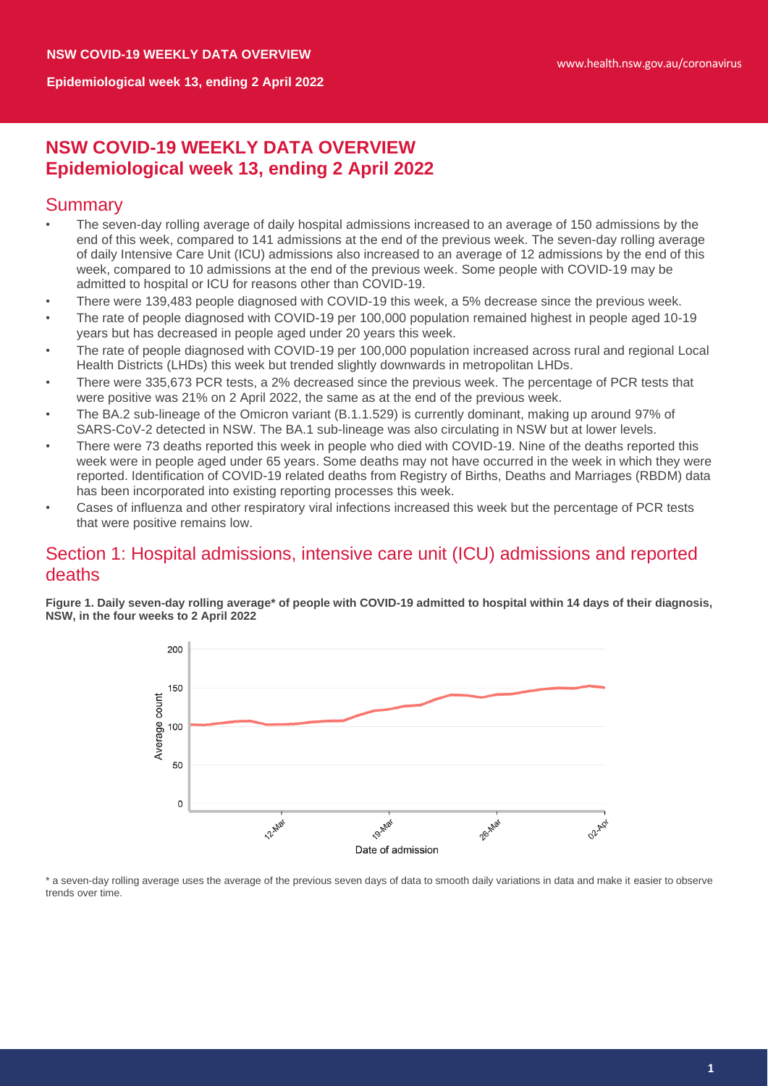# **NSW COVID-19 WEEKLY DATA OVERVIEW Epidemiological week 13, ending 2 April 2022**

# **Summary**

- The seven-day rolling average of daily hospital admissions increased to an average of 150 admissions by the end of this week, compared to 141 admissions at the end of the previous week. The seven-day rolling average of daily Intensive Care Unit (ICU) admissions also increased to an average of 12 admissions by the end of this week, compared to 10 admissions at the end of the previous week. Some people with COVID-19 may be admitted to hospital or ICU for reasons other than COVID-19.
- There were 139,483 people diagnosed with COVID-19 this week, a 5% decrease since the previous week.
- The rate of people diagnosed with COVID-19 per 100,000 population remained highest in people aged 10-19 years but has decreased in people aged under 20 years this week.
- The rate of people diagnosed with COVID-19 per 100,000 population increased across rural and regional Local Health Districts (LHDs) this week but trended slightly downwards in metropolitan LHDs.
- There were 335,673 PCR tests, a 2% decreased since the previous week. The percentage of PCR tests that were positive was 21% on 2 April 2022, the same as at the end of the previous week.
- The BA.2 sub-lineage of the Omicron variant (B.1.1.529) is currently dominant, making up around 97% of SARS-CoV-2 detected in NSW. The BA.1 sub-lineage was also circulating in NSW but at lower levels.
- There were 73 deaths reported this week in people who died with COVID-19. Nine of the deaths reported this week were in people aged under 65 years. Some deaths may not have occurred in the week in which they were reported. Identification of COVID-19 related deaths from Registry of Births, Deaths and Marriages (RBDM) data has been incorporated into existing reporting processes this week.
- Cases of influenza and other respiratory viral infections increased this week but the percentage of PCR tests that were positive remains low.

# Section 1: Hospital admissions, intensive care unit (ICU) admissions and reported deaths

**Figure 1. Daily seven-day rolling average\* of people with COVID-19 admitted to hospital within 14 days of their diagnosis, NSW, in the four weeks to 2 April 2022**



\* a seven-day rolling average uses the average of the previous seven days of data to smooth daily variations in data and make it easier to observe trends over time.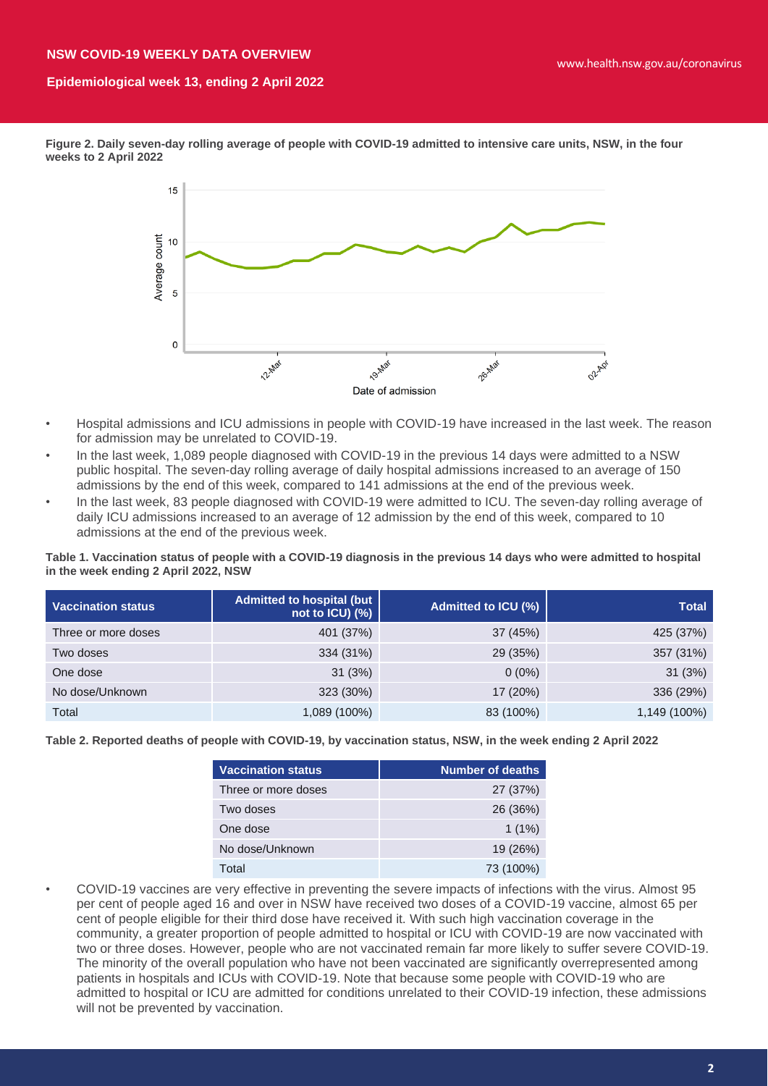#### **NSW COVID-19 WEEKLY DATA OVERVIEW**

## **Epidemiological week 13, ending 2 April 2022**

**Figure 2. Daily seven-day rolling average of people with COVID-19 admitted to intensive care units, NSW, in the four weeks to 2 April 2022**



- Hospital admissions and ICU admissions in people with COVID-19 have increased in the last week. The reason for admission may be unrelated to COVID-19.
- In the last week, 1,089 people diagnosed with COVID-19 in the previous 14 days were admitted to a NSW public hospital. The seven-day rolling average of daily hospital admissions increased to an average of 150 admissions by the end of this week, compared to 141 admissions at the end of the previous week.
- In the last week, 83 people diagnosed with COVID-19 were admitted to ICU. The seven-day rolling average of daily ICU admissions increased to an average of 12 admission by the end of this week, compared to 10 admissions at the end of the previous week.

**Table 1. Vaccination status of people with a COVID-19 diagnosis in the previous 14 days who were admitted to hospital in the week ending 2 April 2022, NSW**

| <b>Vaccination status</b> | Admitted to hospital (but<br>not to $ICU$ ) $(\%)$ | Admitted to ICU (%) | <b>Total</b> |
|---------------------------|----------------------------------------------------|---------------------|--------------|
| Three or more doses       | 401 (37%)                                          | 37 (45%)            | 425 (37%)    |
| Two doses                 | 334 (31%)                                          | 29 (35%)            | 357 (31%)    |
| One dose                  | 31(3%)                                             | $0(0\%)$            | 31(3%)       |
| No dose/Unknown           | 323 (30%)                                          | 17 (20%)            | 336 (29%)    |
| Total                     | 1,089 (100%)                                       | 83 (100%)           | 1,149 (100%) |

**Table 2. Reported deaths of people with COVID-19, by vaccination status, NSW, in the week ending 2 April 2022**

| <b>Vaccination status</b> | <b>Number of deaths</b> |
|---------------------------|-------------------------|
| Three or more doses       | 27 (37%)                |
| Two doses                 | 26 (36%)                |
| One dose                  | $1(1\%)$                |
| No dose/Unknown           | 19 (26%)                |
| Total                     | 73 (100%)               |

• COVID-19 vaccines are very effective in preventing the severe impacts of infections with the virus. Almost 95 per cent of people aged 16 and over in NSW have received two doses of a COVID-19 vaccine, almost 65 per cent of people eligible for their third dose have received it. With such high vaccination coverage in the community, a greater proportion of people admitted to hospital or ICU with COVID-19 are now vaccinated with two or three doses. However, people who are not vaccinated remain far more likely to suffer severe COVID-19. The minority of the overall population who have not been vaccinated are significantly overrepresented among patients in hospitals and ICUs with COVID-19. Note that because some people with COVID-19 who are admitted to hospital or ICU are admitted for conditions unrelated to their COVID-19 infection, these admissions will not be prevented by vaccination.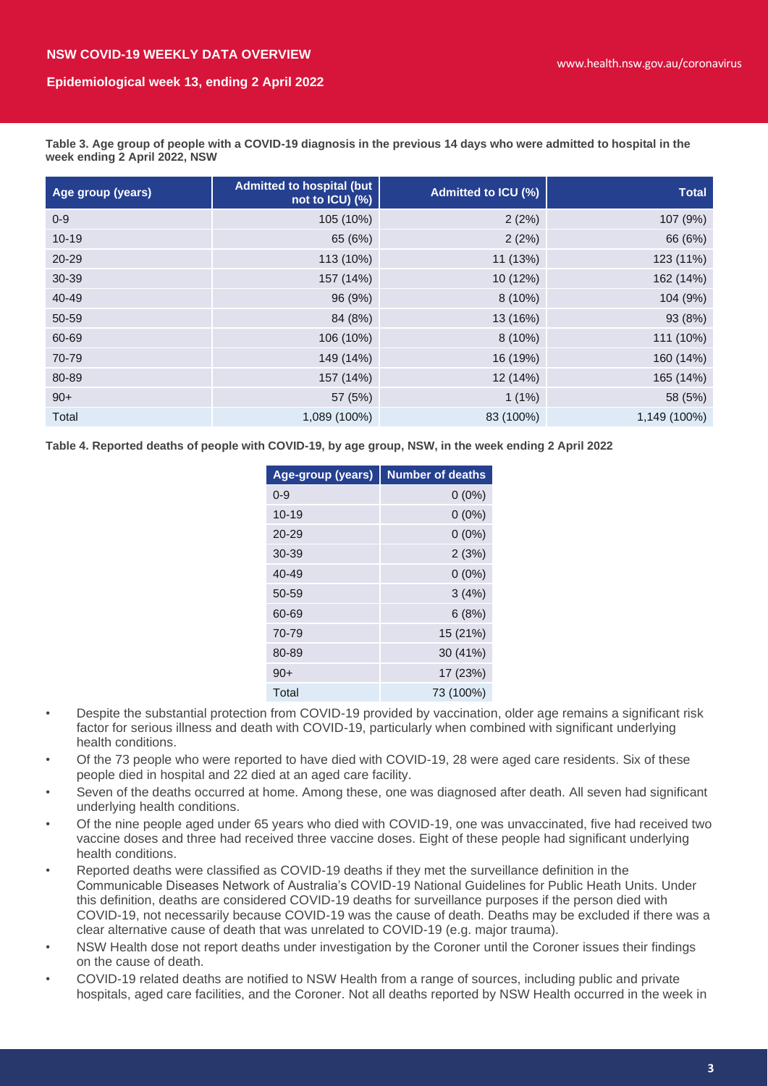**Table 3. Age group of people with a COVID-19 diagnosis in the previous 14 days who were admitted to hospital in the week ending 2 April 2022, NSW**

| Age group (years) | <b>Admitted to hospital (but</b><br>not to ICU) (%) | Admitted to ICU (%) | <b>Total</b> |
|-------------------|-----------------------------------------------------|---------------------|--------------|
| $0 - 9$           | 105 (10%)                                           | 2(2%)               | 107 (9%)     |
| $10 - 19$         | 65 (6%)                                             | 2(2%)               | 66 (6%)      |
| $20 - 29$         | 113 (10%)                                           | 11 (13%)            | 123 (11%)    |
| 30-39             | 157 (14%)                                           | 10 (12%)            | 162 (14%)    |
| $40 - 49$         | 96 (9%)                                             | $8(10\%)$           | 104 (9%)     |
| 50-59             | 84 (8%)                                             | 13 (16%)            | 93 (8%)      |
| 60-69             | 106 (10%)                                           | $8(10\%)$           | 111 (10%)    |
| 70-79             | 149 (14%)                                           | 16 (19%)            | 160 (14%)    |
| 80-89             | 157 (14%)                                           | 12 (14%)            | 165 (14%)    |
| $90+$             | 57 (5%)                                             | $1(1\%)$            | 58 (5%)      |
| Total             | 1,089 (100%)                                        | 83 (100%)           | 1,149 (100%) |

**Table 4. Reported deaths of people with COVID-19, by age group, NSW, in the week ending 2 April 2022**

| Age-group (years) | <b>Number of deaths</b> |
|-------------------|-------------------------|
| $0 - 9$           | $0(0\%)$                |
| $10 - 19$         | $0(0\%)$                |
| $20 - 29$         | $0(0\%)$                |
| 30-39             | 2(3%)                   |
| $40 - 49$         | $0(0\%)$                |
| 50-59             | 3(4%)                   |
| 60-69             | 6(8%)                   |
| 70-79             | 15 (21%)                |
| 80-89             | 30 (41%)                |
| $90+$             | 17 (23%)                |
| Total             | 73 (100%)               |

- Despite the substantial protection from COVID-19 provided by vaccination, older age remains a significant risk factor for serious illness and death with COVID-19, particularly when combined with significant underlying health conditions.
- Of the 73 people who were reported to have died with COVID-19, 28 were aged care residents. Six of these people died in hospital and 22 died at an aged care facility.
- Seven of the deaths occurred at home. Among these, one was diagnosed after death. All seven had significant underlying health conditions.
- Of the nine people aged under 65 years who died with COVID-19, one was unvaccinated, five had received two vaccine doses and three had received three vaccine doses. Eight of these people had significant underlying health conditions.
- Reported deaths were classified as COVID-19 deaths if they met the surveillance definition in the Communicable Diseases Network of Australia's COVID-19 National Guidelines for Public Heath Units. Under this definition, deaths are considered COVID-19 deaths for surveillance purposes if the person died with COVID-19, not necessarily because COVID-19 was the cause of death. Deaths may be excluded if there was a clear alternative cause of death that was unrelated to COVID-19 (e.g. major trauma).
- NSW Health dose not report deaths under investigation by the Coroner until the Coroner issues their findings on the cause of death.
- COVID-19 related deaths are notified to NSW Health from a range of sources, including public and private hospitals, aged care facilities, and the Coroner. Not all deaths reported by NSW Health occurred in the week in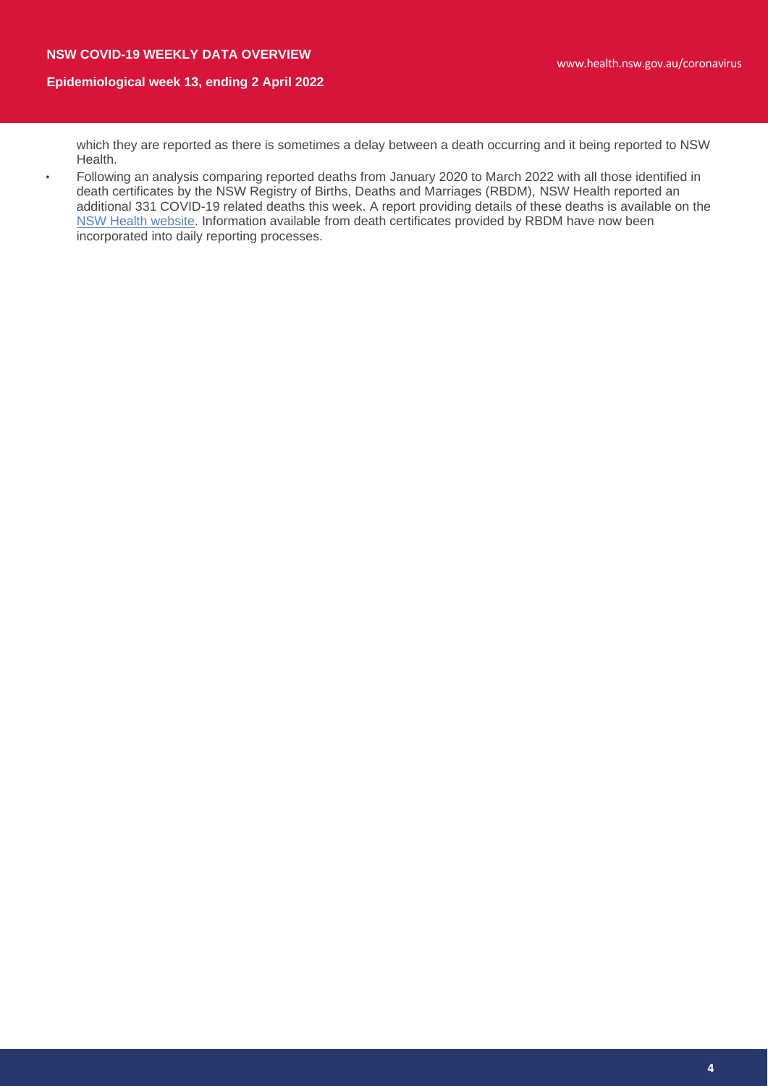which they are reported as there is sometimes a delay between a death occurring and it being reported to NSW Health.

• Following an analysis comparing reported deaths from January 2020 to March 2022 with all those identified in death certificates by the NSW Registry of Births, Deaths and Marriages (RBDM), NSW Health reported an additional 331 COVID-19 related deaths this week. A report providing details of these deaths is available on the [NSW Health website.](https://www.health.nsw.gov.au/Infectious/covid-19/Pages/weekly-reports.aspx) Information available from death certificates provided by RBDM have now been incorporated into daily reporting processes.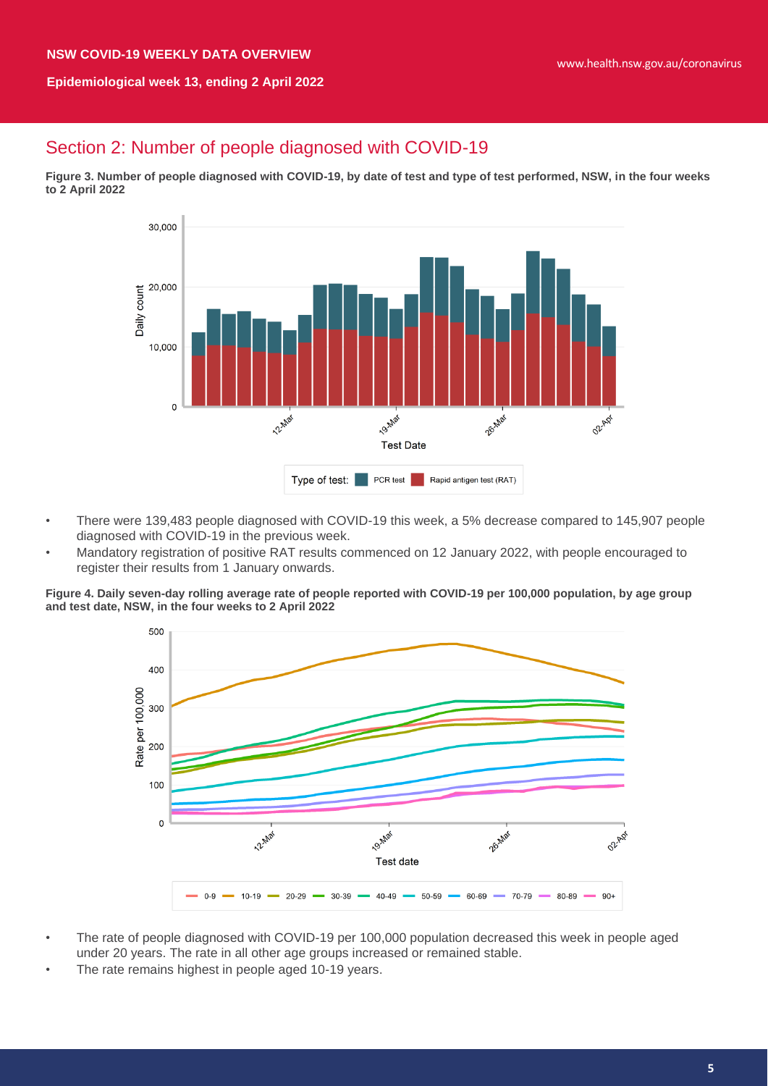# Section 2: Number of people diagnosed with COVID-19

**Figure 3. Number of people diagnosed with COVID-19, by date of test and type of test performed, NSW, in the four weeks to 2 April 2022**



- There were 139,483 people diagnosed with COVID-19 this week, a 5% decrease compared to 145,907 people diagnosed with COVID-19 in the previous week.
- Mandatory registration of positive RAT results commenced on 12 January 2022, with people encouraged to register their results from 1 January onwards.

**Figure 4. Daily seven-day rolling average rate of people reported with COVID-19 per 100,000 population, by age group and test date, NSW, in the four weeks to 2 April 2022**



- The rate of people diagnosed with COVID-19 per 100,000 population decreased this week in people aged under 20 years. The rate in all other age groups increased or remained stable.
- The rate remains highest in people aged 10-19 years.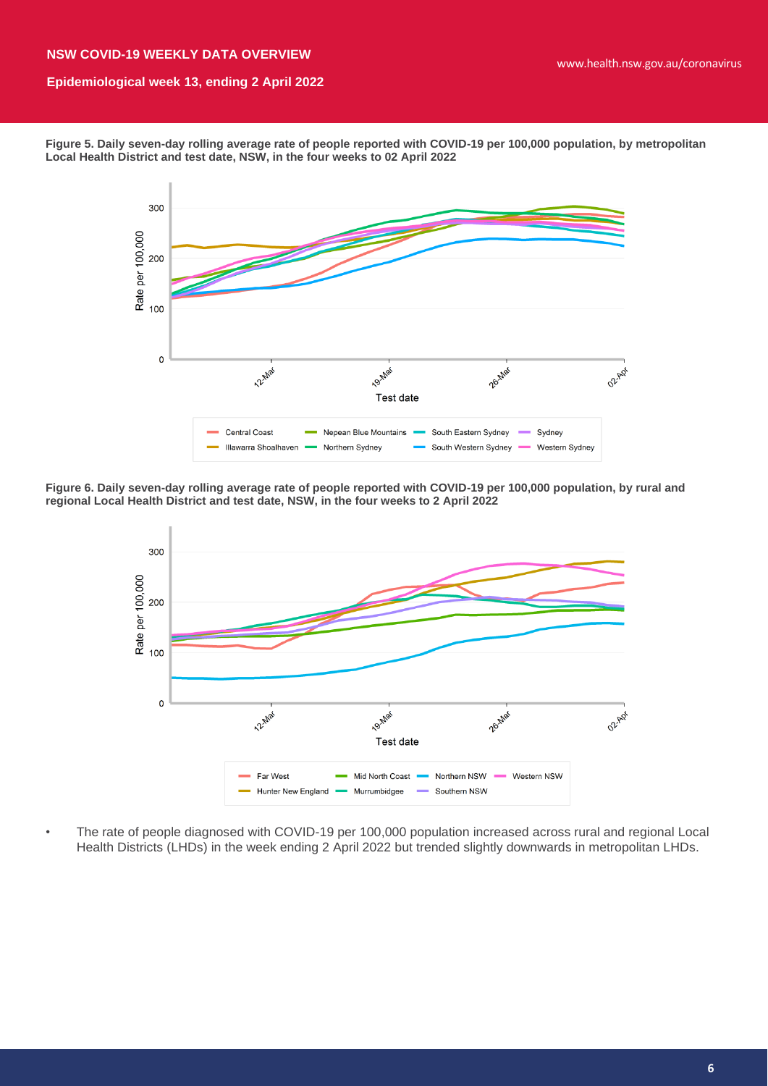**Figure 5. Daily seven-day rolling average rate of people reported with COVID-19 per 100,000 population, by metropolitan Local Health District and test date, NSW, in the four weeks to 02 April 2022**



**Figure 6. Daily seven-day rolling average rate of people reported with COVID-19 per 100,000 population, by rural and regional Local Health District and test date, NSW, in the four weeks to 2 April 2022**



• The rate of people diagnosed with COVID-19 per 100,000 population increased across rural and regional Local Health Districts (LHDs) in the week ending 2 April 2022 but trended slightly downwards in metropolitan LHDs.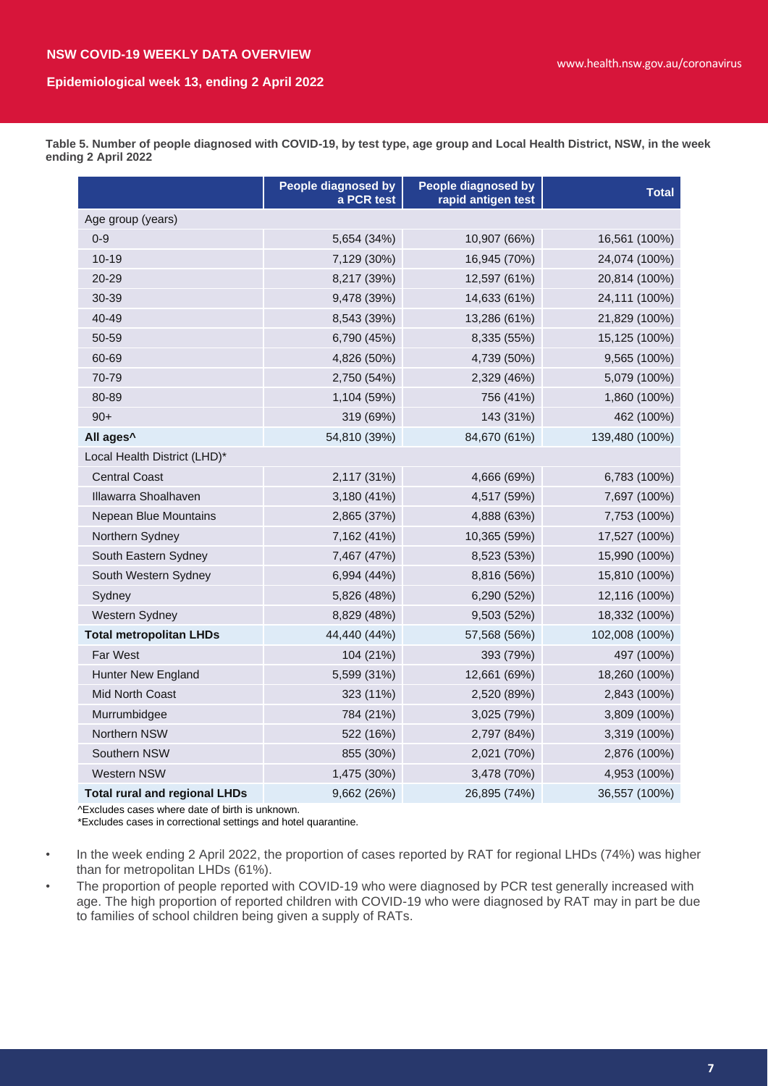**Table 5. Number of people diagnosed with COVID-19, by test type, age group and Local Health District, NSW, in the week ending 2 April 2022**

|                                      | <b>People diagnosed by</b><br>a PCR test | <b>People diagnosed by</b><br>rapid antigen test | <b>Total</b>   |  |  |  |
|--------------------------------------|------------------------------------------|--------------------------------------------------|----------------|--|--|--|
| Age group (years)                    |                                          |                                                  |                |  |  |  |
| $0 - 9$                              | 5,654 (34%)                              | 10,907 (66%)                                     | 16,561 (100%)  |  |  |  |
| $10 - 19$                            | 7,129 (30%)                              | 16,945 (70%)                                     | 24,074 (100%)  |  |  |  |
| 20-29                                | 8,217 (39%)                              | 12,597 (61%)                                     | 20,814 (100%)  |  |  |  |
| 30-39                                | 9,478 (39%)                              | 14,633 (61%)                                     | 24,111 (100%)  |  |  |  |
| 40-49                                | 8,543 (39%)                              | 13,286 (61%)                                     | 21,829 (100%)  |  |  |  |
| 50-59                                | 6,790 (45%)                              | 8,335 (55%)                                      | 15,125 (100%)  |  |  |  |
| 60-69                                | 4,826 (50%)                              | 4,739 (50%)                                      | 9,565 (100%)   |  |  |  |
| 70-79                                | 2,750 (54%)                              | 2,329 (46%)                                      | 5,079 (100%)   |  |  |  |
| 80-89                                | 1,104 (59%)                              | 756 (41%)                                        | 1,860 (100%)   |  |  |  |
| $90+$                                | 319 (69%)                                | 143 (31%)                                        | 462 (100%)     |  |  |  |
| All ages <sup>^</sup>                | 54,810 (39%)                             | 84,670 (61%)                                     | 139,480 (100%) |  |  |  |
| Local Health District (LHD)*         |                                          |                                                  |                |  |  |  |
| <b>Central Coast</b>                 | 2,117 (31%)                              | 4,666 (69%)                                      | 6,783 (100%)   |  |  |  |
| Illawarra Shoalhaven                 | 3,180 (41%)                              | 4,517 (59%)                                      | 7,697 (100%)   |  |  |  |
| Nepean Blue Mountains                | 2,865 (37%)                              | 4,888 (63%)                                      | 7,753 (100%)   |  |  |  |
| Northern Sydney                      | 7,162 (41%)                              | 10,365 (59%)                                     | 17,527 (100%)  |  |  |  |
| South Eastern Sydney                 | 7,467 (47%)                              | 8,523 (53%)                                      | 15,990 (100%)  |  |  |  |
| South Western Sydney                 | 6,994 (44%)                              | 8,816 (56%)                                      | 15,810 (100%)  |  |  |  |
| Sydney                               | 5,826 (48%)                              | 6,290 (52%)                                      | 12,116 (100%)  |  |  |  |
| Western Sydney                       | 8,829 (48%)                              | 9,503 (52%)                                      | 18,332 (100%)  |  |  |  |
| <b>Total metropolitan LHDs</b>       | 44,440 (44%)                             | 57,568 (56%)                                     | 102,008 (100%) |  |  |  |
| Far West                             | 104 (21%)                                | 393 (79%)                                        | 497 (100%)     |  |  |  |
| <b>Hunter New England</b>            | 5,599 (31%)                              | 12,661 (69%)                                     | 18,260 (100%)  |  |  |  |
| Mid North Coast                      | 323 (11%)                                | 2,520 (89%)                                      | 2,843 (100%)   |  |  |  |
| Murrumbidgee                         | 784 (21%)                                | 3,025 (79%)                                      | 3,809 (100%)   |  |  |  |
| Northern NSW                         | 522 (16%)                                | 2,797 (84%)                                      | 3,319 (100%)   |  |  |  |
| Southern NSW                         | 855 (30%)                                | 2,021 (70%)                                      | 2,876 (100%)   |  |  |  |
| Western NSW                          | 1,475 (30%)                              | 3,478 (70%)                                      | 4,953 (100%)   |  |  |  |
| <b>Total rural and regional LHDs</b> | 9,662 (26%)                              | 26,895 (74%)                                     | 36,557 (100%)  |  |  |  |

^Excludes cases where date of birth is unknown.

\*Excludes cases in correctional settings and hotel quarantine.

• In the week ending 2 April 2022, the proportion of cases reported by RAT for regional LHDs (74%) was higher than for metropolitan LHDs (61%).

The proportion of people reported with COVID-19 who were diagnosed by PCR test generally increased with age. The high proportion of reported children with COVID-19 who were diagnosed by RAT may in part be due to families of school children being given a supply of RATs.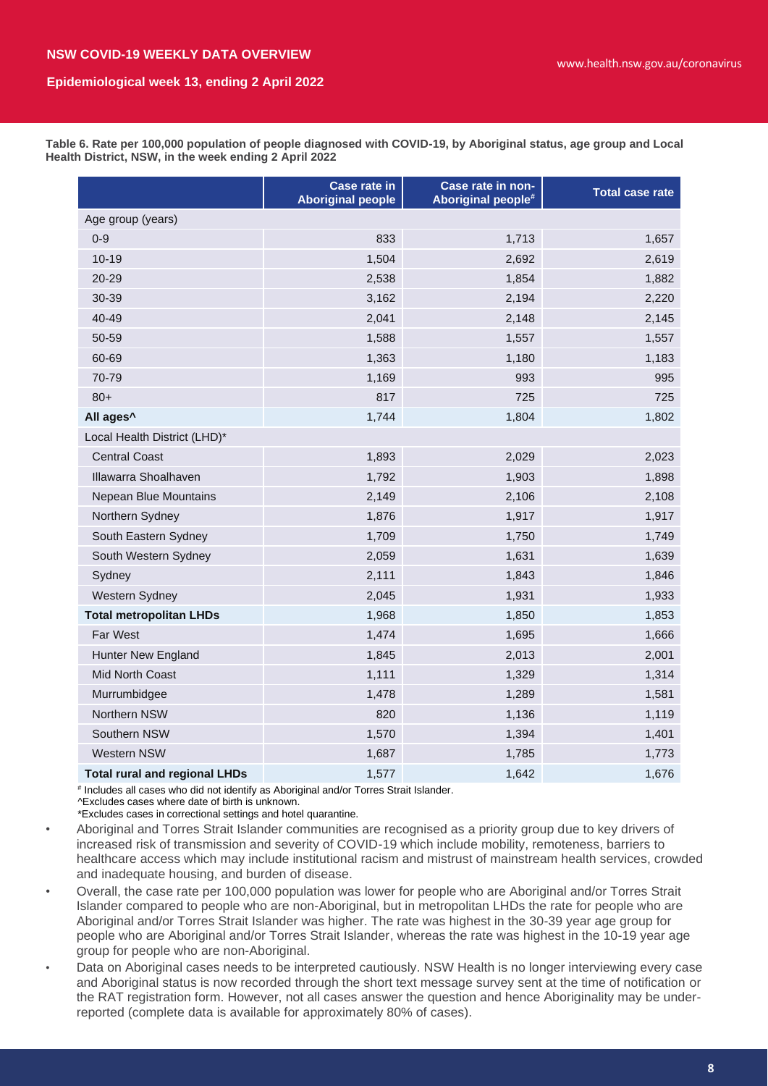**Table 6. Rate per 100,000 population of people diagnosed with COVID-19, by Aboriginal status, age group and Local Health District, NSW, in the week ending 2 April 2022**

|                                      | <b>Case rate in</b><br><b>Aboriginal people</b> | Case rate in non-<br>Aboriginal people# | <b>Total case rate</b> |  |  |
|--------------------------------------|-------------------------------------------------|-----------------------------------------|------------------------|--|--|
| Age group (years)                    |                                                 |                                         |                        |  |  |
| $0 - 9$                              | 833                                             | 1,713                                   | 1,657                  |  |  |
| $10 - 19$                            | 1,504                                           | 2,692                                   | 2,619                  |  |  |
| 20-29                                | 2,538                                           | 1,854                                   | 1,882                  |  |  |
| 30-39                                | 3,162                                           | 2,194                                   | 2,220                  |  |  |
| 40-49                                | 2,041                                           | 2,148                                   | 2,145                  |  |  |
| 50-59                                | 1,588                                           | 1,557                                   | 1,557                  |  |  |
| 60-69                                | 1,363                                           | 1,180                                   | 1,183                  |  |  |
| 70-79                                | 1,169                                           | 993                                     | 995                    |  |  |
| $80+$                                | 817                                             | 725                                     | 725                    |  |  |
| All ages <sup>^</sup>                | 1,744                                           | 1,804                                   | 1,802                  |  |  |
| Local Health District (LHD)*         |                                                 |                                         |                        |  |  |
| <b>Central Coast</b>                 | 1,893                                           | 2,029                                   | 2,023                  |  |  |
| Illawarra Shoalhaven                 | 1,792                                           | 1,903                                   | 1,898                  |  |  |
| Nepean Blue Mountains                | 2,149                                           | 2,106                                   | 2,108                  |  |  |
| Northern Sydney                      | 1,876                                           | 1,917                                   | 1,917                  |  |  |
| South Eastern Sydney                 | 1,709                                           | 1,750                                   | 1,749                  |  |  |
| South Western Sydney                 | 2,059                                           | 1,631                                   | 1,639                  |  |  |
| Sydney                               | 2,111                                           | 1,843                                   | 1,846                  |  |  |
| Western Sydney                       | 2,045                                           | 1,931                                   | 1,933                  |  |  |
| <b>Total metropolitan LHDs</b>       | 1,968                                           | 1,850                                   | 1,853                  |  |  |
| Far West                             | 1,474                                           | 1,695                                   | 1,666                  |  |  |
| <b>Hunter New England</b>            | 1,845                                           | 2,013                                   | 2,001                  |  |  |
| Mid North Coast                      | 1,111                                           | 1,329                                   | 1,314                  |  |  |
| Murrumbidgee                         | 1,478                                           | 1,289                                   | 1,581                  |  |  |
| Northern NSW                         | 820                                             | 1,136                                   | 1,119                  |  |  |
| Southern NSW                         | 1,570                                           | 1,394                                   | 1,401                  |  |  |
| Western NSW                          | 1,687                                           | 1,785                                   | 1,773                  |  |  |
| <b>Total rural and regional LHDs</b> | 1,577                                           | 1,642                                   | 1,676                  |  |  |

# Includes all cases who did not identify as Aboriginal and/or Torres Strait Islander. ^Excludes cases where date of birth is unknown.

\*Excludes cases in correctional settings and hotel quarantine.

- Aboriginal and Torres Strait Islander communities are recognised as a priority group due to key drivers of increased risk of transmission and severity of COVID-19 which include mobility, remoteness, barriers to healthcare access which may include institutional racism and mistrust of mainstream health services, crowded and inadequate housing, and burden of disease.
- Overall, the case rate per 100,000 population was lower for people who are Aboriginal and/or Torres Strait Islander compared to people who are non-Aboriginal, but in metropolitan LHDs the rate for people who are Aboriginal and/or Torres Strait Islander was higher. The rate was highest in the 30-39 year age group for people who are Aboriginal and/or Torres Strait Islander, whereas the rate was highest in the 10-19 year age group for people who are non-Aboriginal.
- Data on Aboriginal cases needs to be interpreted cautiously. NSW Health is no longer interviewing every case and Aboriginal status is now recorded through the short text message survey sent at the time of notification or the RAT registration form. However, not all cases answer the question and hence Aboriginality may be underreported (complete data is available for approximately 80% of cases).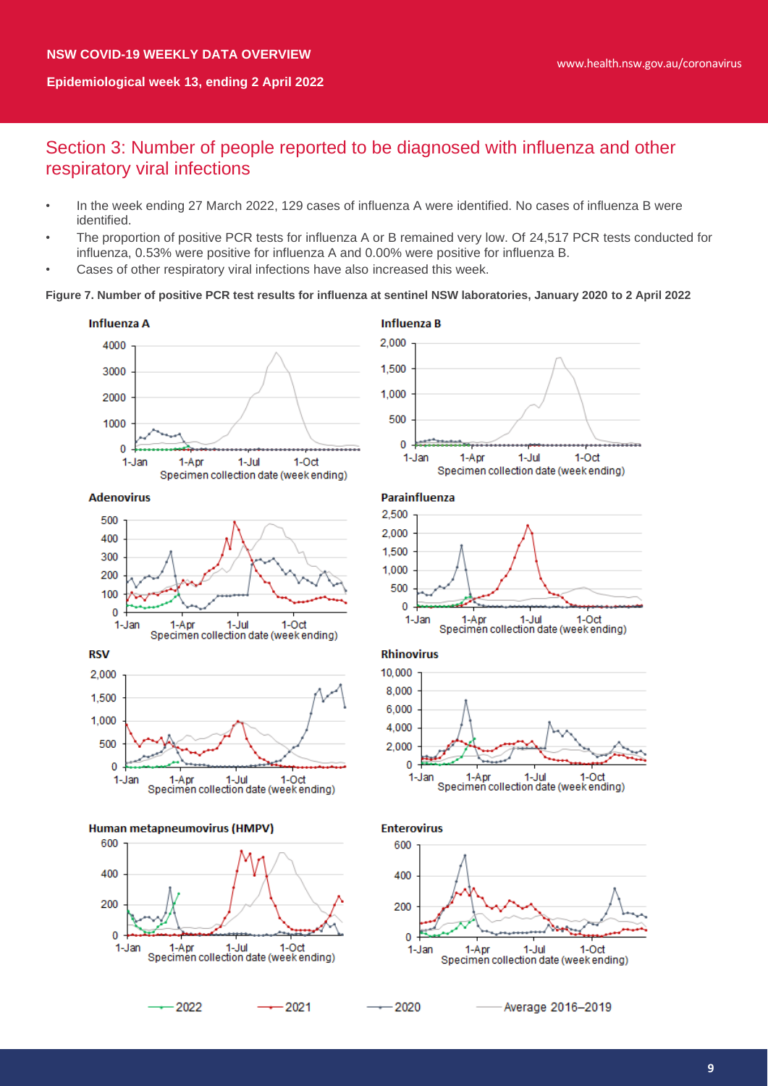# Section 3: Number of people reported to be diagnosed with influenza and other respiratory viral infections

- In the week ending 27 March 2022, 129 cases of influenza A were identified. No cases of influenza B were identified.
- The proportion of positive PCR tests for influenza A or B remained very low. Of 24,517 PCR tests conducted for influenza, 0.53% were positive for influenza A and 0.00% were positive for influenza B.
- Cases of other respiratory viral infections have also increased this week.

#### **Figure 7. Number of positive PCR test results for influenza at sentinel NSW laboratories, January 2020 to 2 April 2022**

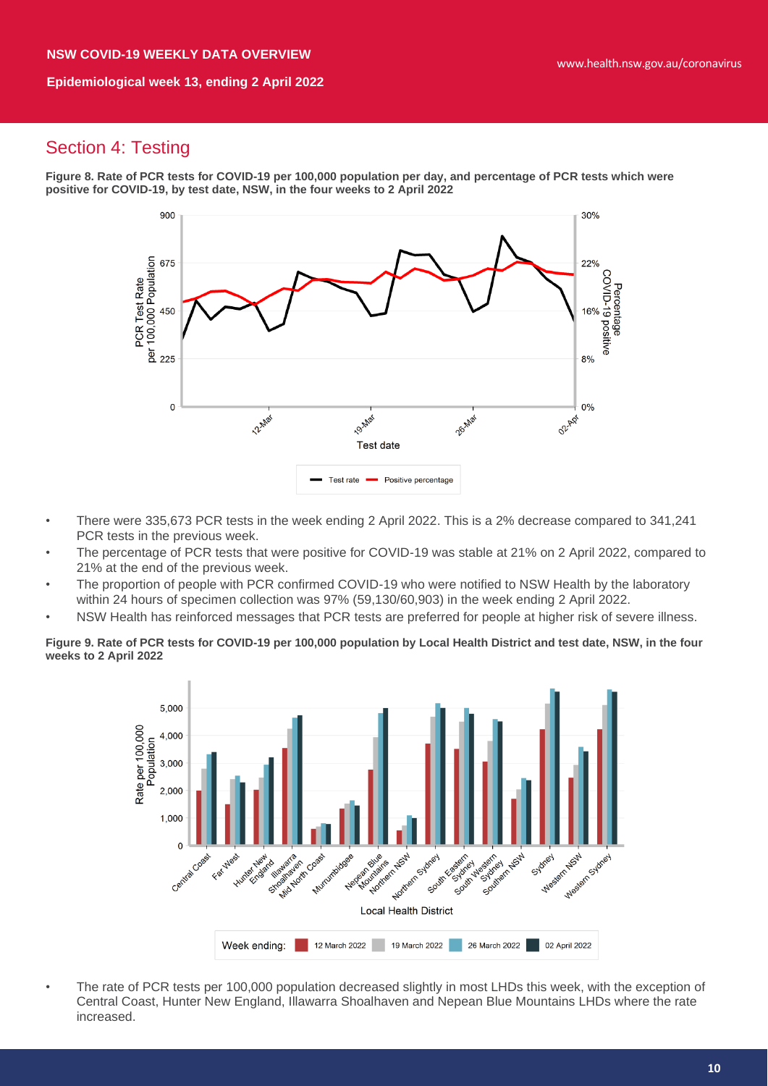# Section 4: Testing

**Figure 8. Rate of PCR tests for COVID-19 per 100,000 population per day, and percentage of PCR tests which were positive for COVID-19, by test date, NSW, in the four weeks to 2 April 2022**



- There were 335,673 PCR tests in the week ending 2 April 2022. This is a 2% decrease compared to 341,241 PCR tests in the previous week.
- The percentage of PCR tests that were positive for COVID-19 was stable at 21% on 2 April 2022, compared to 21% at the end of the previous week.
- The proportion of people with PCR confirmed COVID-19 who were notified to NSW Health by the laboratory within 24 hours of specimen collection was 97% (59,130/60,903) in the week ending 2 April 2022.
- NSW Health has reinforced messages that PCR tests are preferred for people at higher risk of severe illness.

**Figure 9. Rate of PCR tests for COVID-19 per 100,000 population by Local Health District and test date, NSW, in the four weeks to 2 April 2022**



• The rate of PCR tests per 100,000 population decreased slightly in most LHDs this week, with the exception of Central Coast, Hunter New England, Illawarra Shoalhaven and Nepean Blue Mountains LHDs where the rate increased.